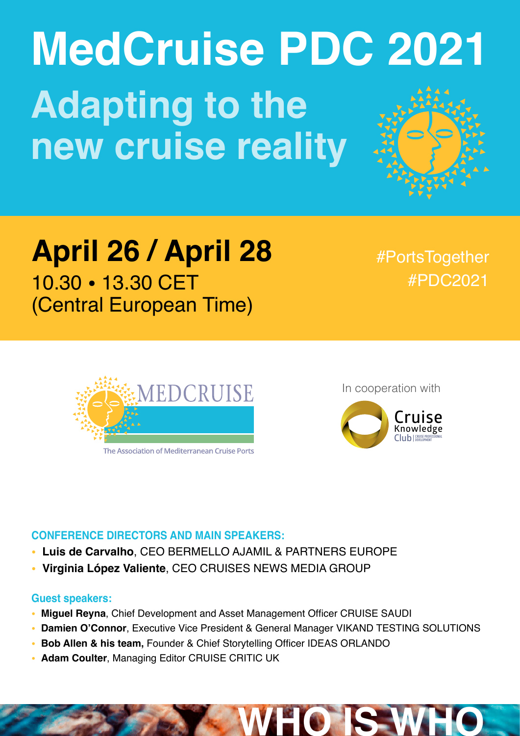# **MedCruise PDC 2021 Adapting to the new cruise reality**

## **April 26 / April 28** 10.30 • 13.30 CET

(Central European Time)

#PortsTogether #PDC2021



The Association of Mediterranean Cruise Ports

In cooperation with



**WHO IS WHO**

#### **CONFERENCE DIRECTORS AND MAIN SPEAKERS:**

- **Luis de Carvalho**, CEO BERMELLO AJAMIL & PARTNERS EUROPE
- **Virginia López Valiente**, CEO CRUISES NEWS MEDIA GROUP

#### **Guest speakers:**

- **Miguel Reyna**, Chief Development and Asset Management Officer CRUISE SAUDI
- **Damien O'Connor**, Executive Vice President & General Manager VIKAND TESTING SOLUTIONS
- **Bob Allen & his team,** Founder & Chief Storytelling Officer IDEAS ORLANDO
- **Adam Coulter**, Managing Editor CRUISE CRITIC UK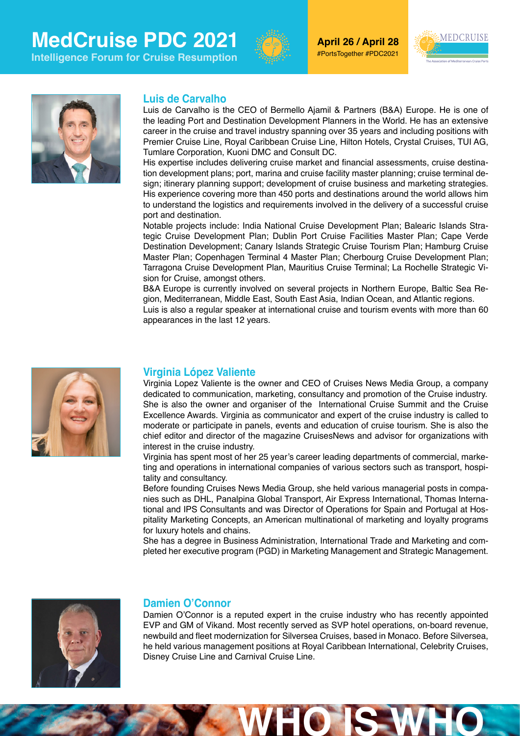## **MedCruise PDC 2021**

**Intelligence Forum for Cruise Resumption**



**April 26 / April 28** #PortsTogether #PDC2021





#### **Luis de Carvalho**

Luis de Carvalho is the CEO of Bermello Ajamil & Partners (B&A) Europe. He is one of the leading Port and Destination Development Planners in the World. He has an extensive career in the cruise and travel industry spanning over 35 years and including positions with Premier Cruise Line, Royal Caribbean Cruise Line, Hilton Hotels, Crystal Cruises, TUI AG, Tumlare Corporation, Kuoni DMC and Consult DC.

His expertise includes delivering cruise market and financial assessments, cruise destination development plans; port, marina and cruise facility master planning; cruise terminal design; itinerary planning support; development of cruise business and marketing strategies. His experience covering more than 450 ports and destinations around the world allows him to understand the logistics and requirements involved in the delivery of a successful cruise port and destination.

Notable projects include: India National Cruise Development Plan; Balearic Islands Strategic Cruise Development Plan; Dublin Port Cruise Facilities Master Plan; Cape Verde Destination Development; Canary Islands Strategic Cruise Tourism Plan; Hamburg Cruise Master Plan; Copenhagen Terminal 4 Master Plan; Cherbourg Cruise Development Plan; Tarragona Cruise Development Plan, Mauritius Cruise Terminal; La Rochelle Strategic Vision for Cruise, amongst others.

B&A Europe is currently involved on several projects in Northern Europe, Baltic Sea Region, Mediterranean, Middle East, South East Asia, Indian Ocean, and Atlantic regions.

Luis is also a regular speaker at international cruise and tourism events with more than 60 appearances in the last 12 years.



#### **Virginia López Valiente**

Virginia Lopez Valiente is the owner and CEO of Cruises News Media Group, a company dedicated to communication, marketing, consultancy and promotion of the Cruise industry. She is also the owner and organiser of the International Cruise Summit and the Cruise Excellence Awards. Virginia as communicator and expert of the cruise industry is called to moderate or participate in panels, events and education of cruise tourism. She is also the chief editor and director of the magazine CruisesNews and advisor for organizations with interest in the cruise industry.

Virginia has spent most of her 25 year's career leading departments of commercial, marketing and operations in international companies of various sectors such as transport, hospitality and consultancy.

Before founding Cruises News Media Group, she held various managerial posts in companies such as DHL, Panalpina Global Transport, Air Express International, Thomas International and IPS Consultants and was Director of Operations for Spain and Portugal at Hospitality Marketing Concepts, an American multinational of marketing and loyalty programs for luxury hotels and chains.

She has a degree in Business Administration, International Trade and Marketing and completed her executive program (PGD) in Marketing Management and Strategic Management.



#### **Damien O'Connor**

Damien O'Connor is a reputed expert in the cruise industry who has recently appointed EVP and GM of Vikand. Most recently served as SVP hotel operations, on-board revenue, newbuild and fleet modernization for Silversea Cruises, based in Monaco. Before Silversea, he held various management positions at Royal Caribbean International, Celebrity Cruises, Disney Cruise Line and Carnival Cruise Line.

**WHO IS WHO**